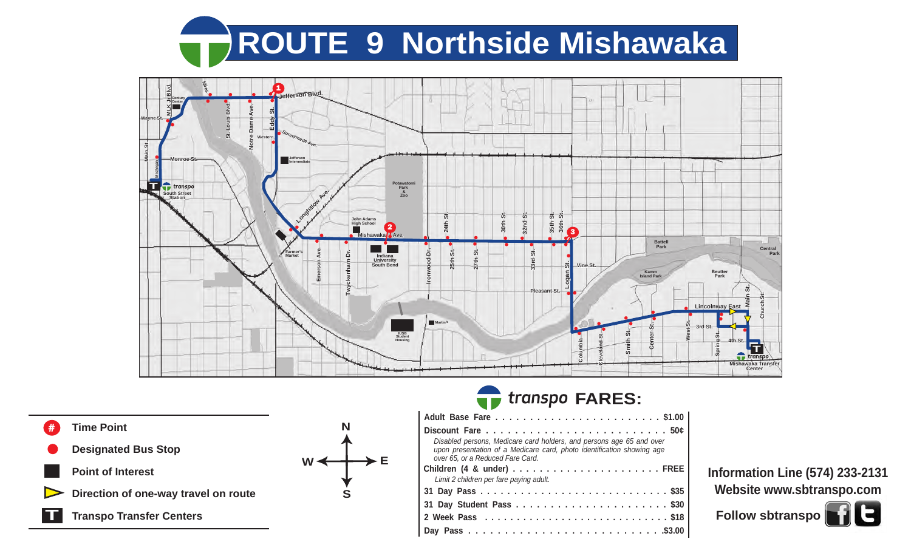# **ROUTE 9 Northside Mishawaka**



The Control

**T Time Point Designated Bus Stop Point of Interest Direction of one-way travel on route Transpo Transfer Centers S**  $W \leftarrow \rightarrow E$ 

### **FARES:**

| Disabled persons, Medicare card holders, and persons age 65 and over<br>upon presentation of a Medicare card, photo identification showing age<br>over 65, or a Reduced Fare Card. |  |  |  |  |  |  |  |  |  |
|------------------------------------------------------------------------------------------------------------------------------------------------------------------------------------|--|--|--|--|--|--|--|--|--|
|                                                                                                                                                                                    |  |  |  |  |  |  |  |  |  |
| Limit 2 children per fare paying adult.                                                                                                                                            |  |  |  |  |  |  |  |  |  |
|                                                                                                                                                                                    |  |  |  |  |  |  |  |  |  |
|                                                                                                                                                                                    |  |  |  |  |  |  |  |  |  |
|                                                                                                                                                                                    |  |  |  |  |  |  |  |  |  |
|                                                                                                                                                                                    |  |  |  |  |  |  |  |  |  |

**Information Line (574) 233-2131 Website www.sbtranspo.com**

Follow sbtranspo**o**